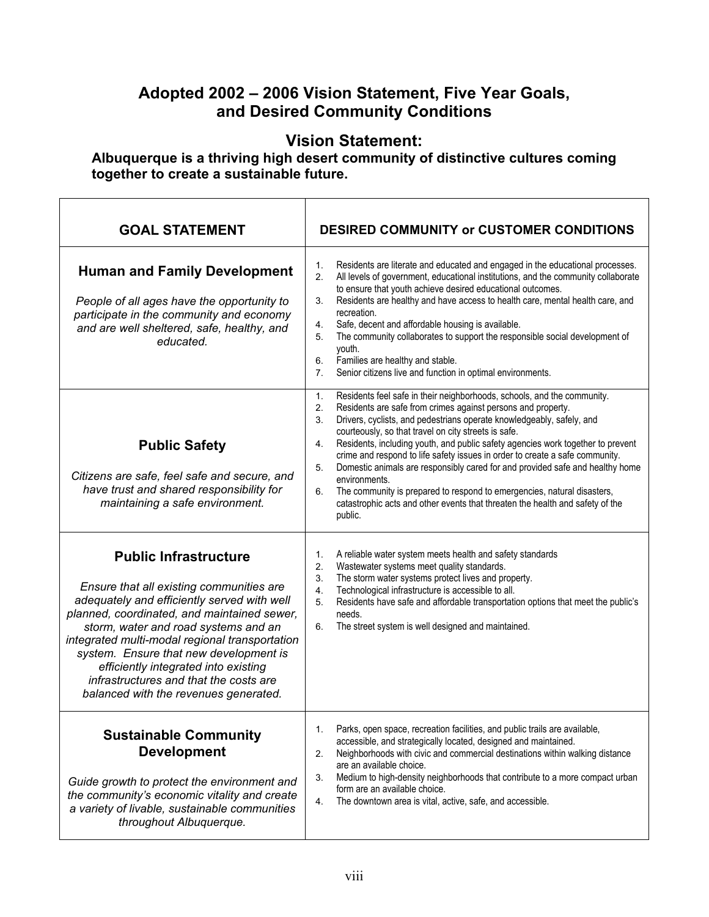## **Adopted 2002 – 2006 Vision Statement, Five Year Goals, and Desired Community Conditions**

## **Vision Statement:**

**Albuquerque is a thriving high desert community of distinctive cultures coming together to create a sustainable future.** 

| <b>GOAL STATEMENT</b>                                                                                                                                                                                                                                                                                                                                                                                                                 | <b>DESIRED COMMUNITY or CUSTOMER CONDITIONS</b>                                                                                                                                                                                                                                                                                                                                                                                                                                                                                                                                                                                                                                                                                                          |
|---------------------------------------------------------------------------------------------------------------------------------------------------------------------------------------------------------------------------------------------------------------------------------------------------------------------------------------------------------------------------------------------------------------------------------------|----------------------------------------------------------------------------------------------------------------------------------------------------------------------------------------------------------------------------------------------------------------------------------------------------------------------------------------------------------------------------------------------------------------------------------------------------------------------------------------------------------------------------------------------------------------------------------------------------------------------------------------------------------------------------------------------------------------------------------------------------------|
| <b>Human and Family Development</b><br>People of all ages have the opportunity to<br>participate in the community and economy<br>and are well sheltered, safe, healthy, and<br>educated.                                                                                                                                                                                                                                              | Residents are literate and educated and engaged in the educational processes.<br>1.<br>All levels of government, educational institutions, and the community collaborate<br>2.<br>to ensure that youth achieve desired educational outcomes.<br>Residents are healthy and have access to health care, mental health care, and<br>3.<br>recreation.<br>Safe, decent and affordable housing is available.<br>4.<br>The community collaborates to support the responsible social development of<br>5.<br>youth.<br>Families are healthy and stable.<br>6.<br>Senior citizens live and function in optimal environments.<br>7.                                                                                                                               |
| <b>Public Safety</b><br>Citizens are safe, feel safe and secure, and<br>have trust and shared responsibility for<br>maintaining a safe environment.                                                                                                                                                                                                                                                                                   | Residents feel safe in their neighborhoods, schools, and the community.<br>1.<br>Residents are safe from crimes against persons and property.<br>2.<br>Drivers, cyclists, and pedestrians operate knowledgeably, safely, and<br>3.<br>courteously, so that travel on city streets is safe.<br>Residents, including youth, and public safety agencies work together to prevent<br>4.<br>crime and respond to life safety issues in order to create a safe community.<br>Domestic animals are responsibly cared for and provided safe and healthy home<br>5.<br>environments.<br>The community is prepared to respond to emergencies, natural disasters,<br>6.<br>catastrophic acts and other events that threaten the health and safety of the<br>public. |
| <b>Public Infrastructure</b><br>Ensure that all existing communities are<br>adequately and efficiently served with well<br>planned, coordinated, and maintained sewer,<br>storm, water and road systems and an<br>integrated multi-modal regional transportation<br>system. Ensure that new development is<br>efficiently integrated into existing<br>infrastructures and that the costs are<br>balanced with the revenues generated. | A reliable water system meets health and safety standards<br>1.<br>Wastewater systems meet quality standards.<br>2.<br>The storm water systems protect lives and property.<br>3.<br>Technological infrastructure is accessible to all.<br>4.<br>Residents have safe and affordable transportation options that meet the public's<br>5.<br>needs.<br>The street system is well designed and maintained.<br>6.                                                                                                                                                                                                                                                                                                                                             |
| <b>Sustainable Community</b><br><b>Development</b><br>Guide growth to protect the environment and<br>the community's economic vitality and create<br>a variety of livable, sustainable communities<br>throughout Albuquerque.                                                                                                                                                                                                         | Parks, open space, recreation facilities, and public trails are available,<br>1.<br>accessible, and strategically located, designed and maintained.<br>Neighborhoods with civic and commercial destinations within walking distance<br>2.<br>are an available choice.<br>Medium to high-density neighborhoods that contribute to a more compact urban<br>3.<br>form are an available choice.<br>The downtown area is vital, active, safe, and accessible.<br>4.                                                                                                                                                                                                                                                                                          |